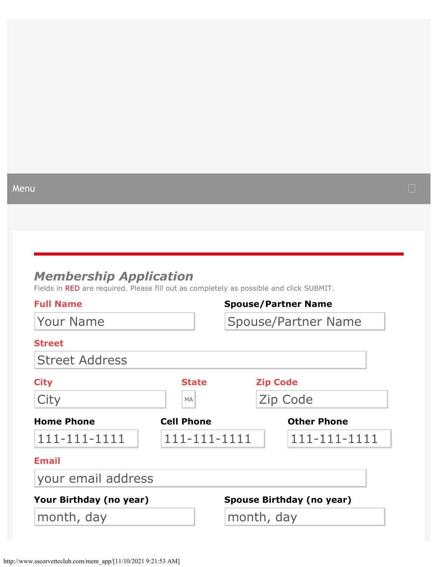#### <span id="page-0-0"></span>Menu

# *Membership Application*

Fields in RED are required. Please fill out as completely as possible and click SUBMIT.

| <b>Full Name</b>        |                            |            |                 | <b>Spouse/Partner Name</b> |
|-------------------------|----------------------------|------------|-----------------|----------------------------|
| <b>Your Name</b>        | <b>Spouse/Partner Name</b> |            |                 |                            |
| <b>Street</b>           |                            |            |                 |                            |
| <b>Street Address</b>   |                            |            |                 |                            |
| <b>City</b>             | <b>State</b>               |            | <b>Zip Code</b> |                            |
| City                    | <b>MA</b>                  |            | Zip Code        |                            |
| <b>Home Phone</b>       | <b>Cell Phone</b>          |            |                 | <b>Other Phone</b>         |
| 111-111-1111            | 111-111-1111               |            |                 | 111-111-1111               |
| <b>Email</b>            |                            |            |                 |                            |
| your email address      |                            |            |                 |                            |
| Your Birthday (no year) |                            |            |                 | Spouse Birthday (no year)  |
| month, day              |                            | month, day |                 |                            |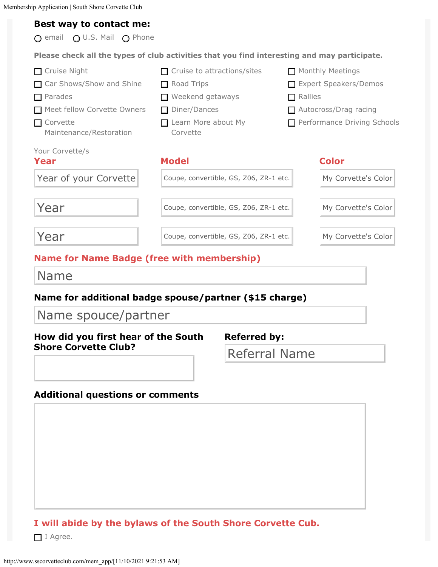Membership Application | South Shore Corvette Club

#### **Best way to contact me:**

 $\bigcirc$  email  $\bigcirc$  U.S. Mail  $\bigcirc$  Phone **Please check all the types of club activities that you find interesting and may participate.** Cruise Night Car Shows/Show and Shine **□** Parades Meet fellow Corvette Owners  $\Box$  Corvette Maintenance/Restoration  $\Box$  Cruise to attractions/sites Road Trips Weekend getaways Diner/Dances Learn More about My Corvette  $\Box$  Monthly Meetings Expert Speakers/Demos  $\Box$  Rallies □ Autocross/Drag racing Performance Driving Schools Your Corvette/s **Year Model Color** Vear of your Corvette<br>
Year Coupe, convertible, GS, 206, 2R-1 etc.<br>
Year Coupe, convertible, GS, 206, 2R-1 etc.<br>
Year Coupe, convertible, GS, 206, 2R-1 etc.<br>
Name for Name Badge (free with membership)<br>
Name for additional

## **Name for Name Badge (free with membership)**

Name

#### **Name for additional badge spouse/partner (\$15 charge)**

**How did you first hear of the South Shore Corvette Club?**

**Referred by:**

Referral Name

#### **Additional questions or comments**

#### **I will abide by the bylaws of the South Shore Corvette Cub.**

 $\Box$  I Agree.